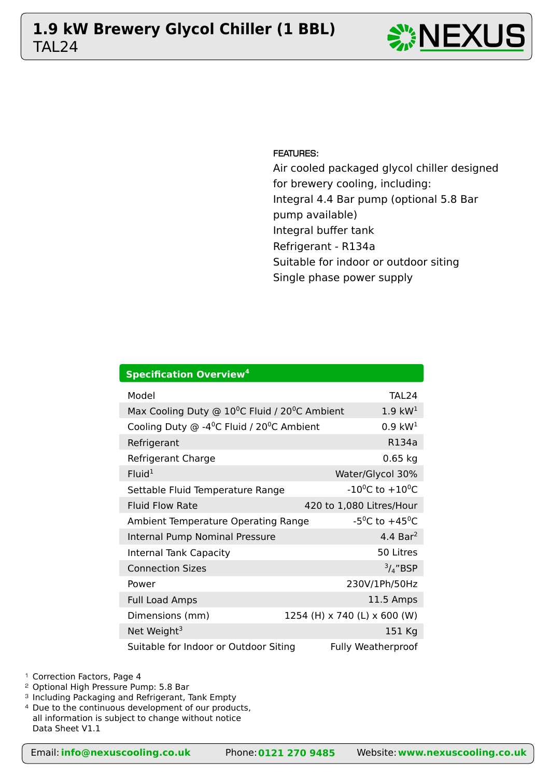# TAL24 **1.9 kW Brewery Glycol Chiller (1 BBL)**  $\sum_{n=1}^{\infty} \text{NEXL}$





FEATURES:

Air cooled packaged glycol chiller designed for brewery cooling, including: Integral 4.4 Bar pump (optional 5.8 Bar pump available) Integral buffer tank Refrigerant - R134a Suitable for indoor or outdoor siting Single phase power supply

| <b>Specification Overview<sup>4</sup></b>                              |                                         |  |  |  |  |  |  |  |  |  |
|------------------------------------------------------------------------|-----------------------------------------|--|--|--|--|--|--|--|--|--|
| Model                                                                  | TAL <sub>24</sub>                       |  |  |  |  |  |  |  |  |  |
| Max Cooling Duty @ 10 <sup>o</sup> C Fluid / 20 <sup>o</sup> C Ambient | $1.9~\text{kW}^1$                       |  |  |  |  |  |  |  |  |  |
| Cooling Duty @ -4 <sup>0</sup> C Fluid / 20 <sup>0</sup> C Ambient     | $0.9 \text{ kW}^1$                      |  |  |  |  |  |  |  |  |  |
| Refrigerant                                                            | R134a                                   |  |  |  |  |  |  |  |  |  |
| Refrigerant Charge                                                     | $0.65$ kg                               |  |  |  |  |  |  |  |  |  |
| Fluid <sup>1</sup>                                                     | Water/Glycol 30%                        |  |  |  |  |  |  |  |  |  |
| Settable Fluid Temperature Range                                       | $-10^{0}$ C to $+10^{0}$ C              |  |  |  |  |  |  |  |  |  |
| <b>Fluid Flow Rate</b>                                                 | 420 to 1,080 Litres/Hour                |  |  |  |  |  |  |  |  |  |
| Ambient Temperature Operating Range                                    | -5 <sup>o</sup> C to +45 <sup>o</sup> C |  |  |  |  |  |  |  |  |  |
| Internal Pump Nominal Pressure                                         | 4.4 Bar <sup>2</sup>                    |  |  |  |  |  |  |  |  |  |
| <b>Internal Tank Capacity</b>                                          | 50 Litres                               |  |  |  |  |  |  |  |  |  |
| <b>Connection Sizes</b>                                                | $\frac{3}{4}$ "BSP                      |  |  |  |  |  |  |  |  |  |
| Power                                                                  | 230V/1Ph/50Hz                           |  |  |  |  |  |  |  |  |  |
| <b>Full Load Amps</b>                                                  | 11.5 Amps                               |  |  |  |  |  |  |  |  |  |
| Dimensions (mm)                                                        | 1254 (H) x 740 (L) x 600 (W)            |  |  |  |  |  |  |  |  |  |
| Net Weight <sup>3</sup>                                                | 151 Kg                                  |  |  |  |  |  |  |  |  |  |
| Suitable for Indoor or Outdoor Siting                                  | <b>Fully Weatherproof</b>               |  |  |  |  |  |  |  |  |  |

<sup>1</sup> Correction Factors, Page 4

<sup>2</sup> Optional High Pressure Pump: 5.8 Bar

<sup>3</sup> Including Packaging and Refrigerant, Tank Empty

<sup>4</sup> Due to the continuous development of our products,

all information is subject to change without notice Data Sheet V1.1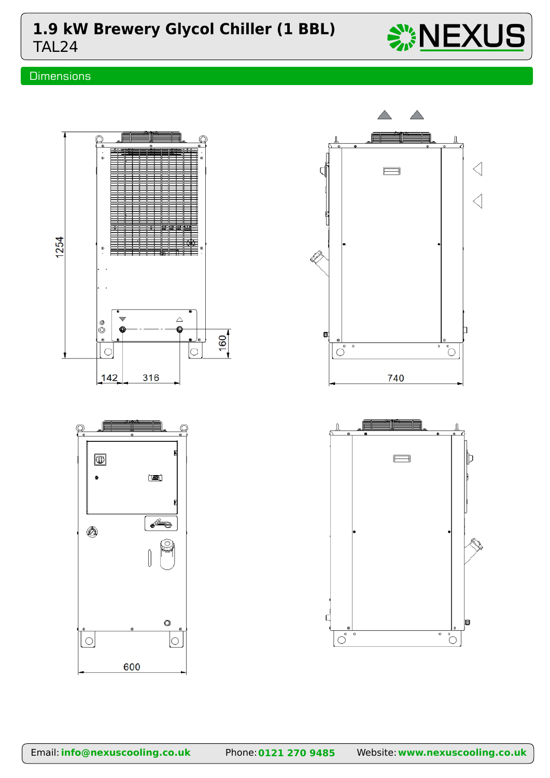## TAL24 **1.9 kW Brewery Glycol Chiller (1 BBL)**  $\frac{100}{200} \text{NEXUS}$

## **Dimensions**



600



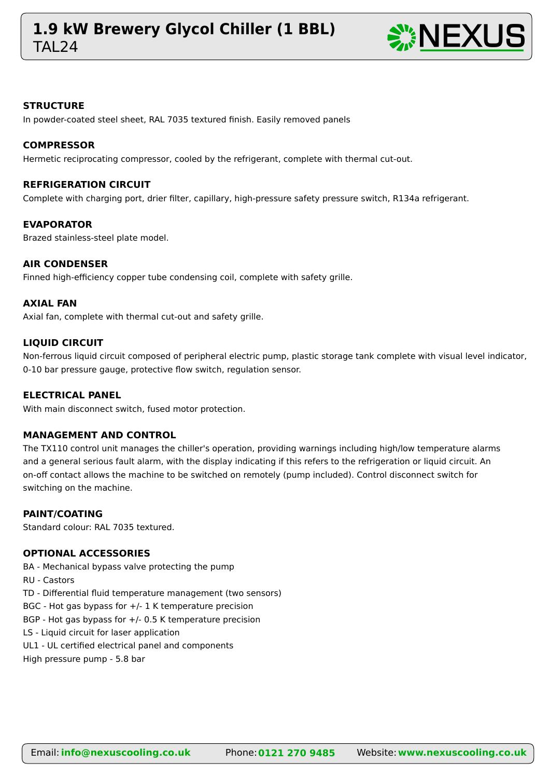## **TAI 24 1.9 kW Brewery Glycol Chiller (1 BBL)** NEXUS



#### **STRUCTURE**

In powder-coated steel sheet, RAL 7035 textured finish. Easily removed panels

#### **COMPRESSOR**

Hermetic reciprocating compressor, cooled by the refrigerant, complete with thermal cut-out.

#### **REFRIGERATION CIRCUIT**

Complete with charging port, drier filter, capillary, high-pressure safety pressure switch, R134a refrigerant.

#### **EVAPORATOR**

Brazed stainless-steel plate model.

#### **AIR CONDENSER**

Finned high-efficiency copper tube condensing coil, complete with safety grille.

#### **AXIAL FAN**

Axial fan, complete with thermal cut-out and safety grille.

#### **LIQUID CIRCUIT**

Non-ferrous liquid circuit composed of peripheral electric pump, plastic storage tank complete with visual level indicator, 0-10 bar pressure gauge, protective flow switch, regulation sensor.

#### **ELECTRICAL PANEL**

With main disconnect switch, fused motor protection.

#### **MANAGEMENT AND CONTROL**

The TX110 control unit manages the chiller's operation, providing warnings including high/low temperature alarms and a general serious fault alarm, with the display indicating if this refers to the refrigeration or liquid circuit. An on-off contact allows the machine to be switched on remotely (pump included). Control disconnect switch for switching on the machine.

#### **PAINT/COATING**

Standard colour: RAL 7035 textured.

### **OPTIONAL ACCESSORIES**

BA - Mechanical bypass valve protecting the pump

RU - Castors

TD - Differential fluid temperature management (two sensors)

BGC - Hot gas bypass for  $+/$ - 1 K temperature precision

BGP - Hot gas bypass for +/- 0.5 K temperature precision

LS - Liquid circuit for laser application

UL1 - UL certified electrical panel and components

High pressure pump - 5.8 bar